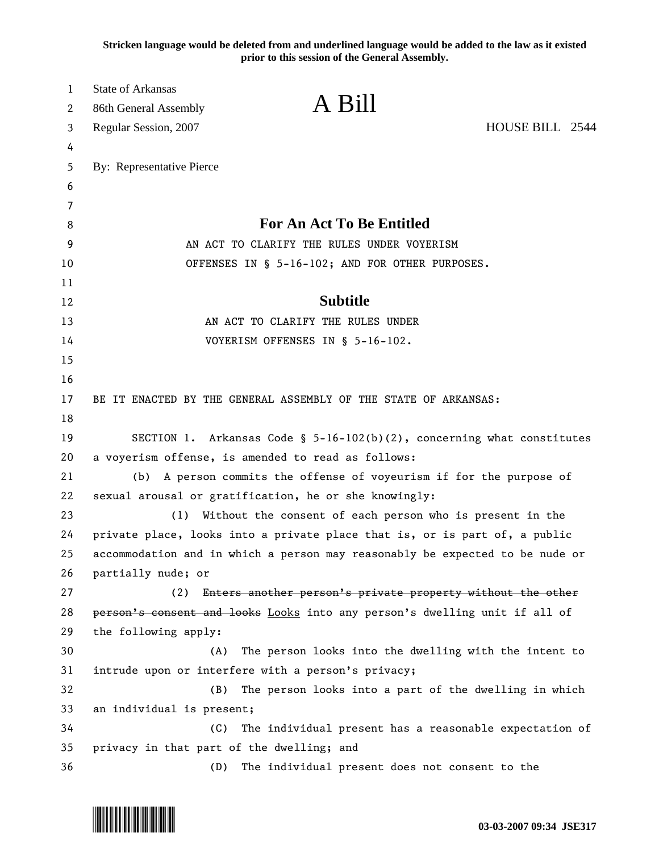**Stricken language would be deleted from and underlined language would be added to the law as it existed prior to this session of the General Assembly.**

| 1        | <b>State of Arkansas</b>                                                     |                                                                            |                 |  |  |  |  |  |
|----------|------------------------------------------------------------------------------|----------------------------------------------------------------------------|-----------------|--|--|--|--|--|
| 2        | 86th General Assembly                                                        | A Bill                                                                     |                 |  |  |  |  |  |
| 3        | Regular Session, 2007                                                        |                                                                            | HOUSE BILL 2544 |  |  |  |  |  |
| 4        |                                                                              |                                                                            |                 |  |  |  |  |  |
| 5        | By: Representative Pierce                                                    |                                                                            |                 |  |  |  |  |  |
| 6        |                                                                              |                                                                            |                 |  |  |  |  |  |
| 7        |                                                                              |                                                                            |                 |  |  |  |  |  |
| 8        | <b>For An Act To Be Entitled</b>                                             |                                                                            |                 |  |  |  |  |  |
| 9        | AN ACT TO CLARIFY THE RULES UNDER VOYERISM                                   |                                                                            |                 |  |  |  |  |  |
| 10       | OFFENSES IN § 5-16-102; AND FOR OTHER PURPOSES.                              |                                                                            |                 |  |  |  |  |  |
| 11       |                                                                              | <b>Subtitle</b>                                                            |                 |  |  |  |  |  |
| 12       |                                                                              |                                                                            |                 |  |  |  |  |  |
| 13       | AN ACT TO CLARIFY THE RULES UNDER                                            |                                                                            |                 |  |  |  |  |  |
| 14       |                                                                              | VOYERISM OFFENSES IN § 5-16-102.                                           |                 |  |  |  |  |  |
| 15<br>16 |                                                                              |                                                                            |                 |  |  |  |  |  |
| 17       |                                                                              | BE IT ENACTED BY THE GENERAL ASSEMBLY OF THE STATE OF ARKANSAS:            |                 |  |  |  |  |  |
| 18       |                                                                              |                                                                            |                 |  |  |  |  |  |
| 19       |                                                                              | SECTION 1. Arkansas Code § $5-16-102(b)(2)$ , concerning what constitutes  |                 |  |  |  |  |  |
| 20       | a voyerism offense, is amended to read as follows:                           |                                                                            |                 |  |  |  |  |  |
| 21       | A person commits the offense of voyeurism if for the purpose of<br>(b)       |                                                                            |                 |  |  |  |  |  |
| 22       | sexual arousal or gratification, he or she knowingly:                        |                                                                            |                 |  |  |  |  |  |
| 23       | Without the consent of each person who is present in the<br>(1)              |                                                                            |                 |  |  |  |  |  |
| 24       | private place, looks into a private place that is, or is part of, a public   |                                                                            |                 |  |  |  |  |  |
| 25       | accommodation and in which a person may reasonably be expected to be nude or |                                                                            |                 |  |  |  |  |  |
| 26       | partially nude; or                                                           |                                                                            |                 |  |  |  |  |  |
| 27       | (2)                                                                          | Enters another person's private property without the other                 |                 |  |  |  |  |  |
| 28       |                                                                              | person's consent and looks Looks into any person's dwelling unit if all of |                 |  |  |  |  |  |
| 29       | the following apply:                                                         |                                                                            |                 |  |  |  |  |  |
| 30       | (A)                                                                          | The person looks into the dwelling with the intent to                      |                 |  |  |  |  |  |
| 31       |                                                                              | intrude upon or interfere with a person's privacy;                         |                 |  |  |  |  |  |
| 32       | (B)                                                                          | The person looks into a part of the dwelling in which                      |                 |  |  |  |  |  |
| 33       | an individual is present;                                                    |                                                                            |                 |  |  |  |  |  |
| 34       | (C)                                                                          | The individual present has a reasonable expectation of                     |                 |  |  |  |  |  |
| 35       | privacy in that part of the dwelling; and                                    |                                                                            |                 |  |  |  |  |  |
| 36       | (D)                                                                          | The individual present does not consent to the                             |                 |  |  |  |  |  |